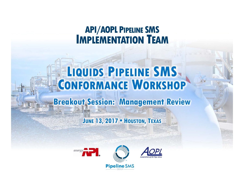# **API/AOPL PIPELINE SMS IMPLEMENTATION TEAM**

## **LIQUIDS PIPELINE SMS CONFORMANCE WORKSHOP**

### **Breakout Session: Management Review**

### **JUNE 13, 2017 • HOUSTON, TEXAS**



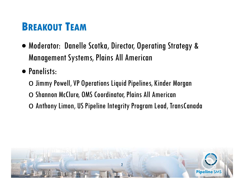## **BREAKOUT TEAM**

- Moderator: Danelle Scotka, Director, Operating Strategy & Management Systems, Plains All American
- Panelists:
	- $\circ$  Jimmy Powell, VP Operations Liquid Pipelines, Kinder Morgan
	- o Shannon McClure, OMS Coordinator, Plains All American
	- o Anthony Limon, US Pipeline Integrity Program Lead, TransCanada

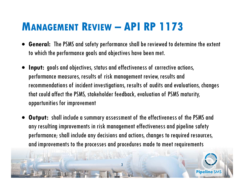## **MANAGEMENT REVIEW – API RP 1173**

- **General:** The PSMS and safety performance shall be reviewed to determine the extent to which the performance goals and objectives have been met.
- 0 **Input:** goals and objectives, status and effectiveness of corrective actions, performance measures, results of risk management review, results and recommendations of incident investigations, results of audits and evaluations, changes that could affect the PSMS, stakeholder feedback, evaluation of PSMS maturity, opportunities for improvement
- 0 **Output:** shall include a summary assessment of the effectiveness of the PSMS and any resulting improvements in risk management effectiveness and pipeline safety performance; shall include any decisions and actions, changes to required resources, and improvements to the processes and procedures made to meet requirements

3

**Pipeline SM**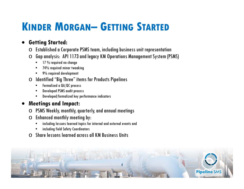## **KINDER MORGAN– GETTING STARTED**

#### 0 **Getting Started:**

- $\circlearrowright$  Established a Corporate PSMS team, including business unit representation
- $\circlearrowright\,$  Gap analysis: API 1173 and legacy KM Operations Management System (PSMS)
	- $\bullet$   $\phantom{0}$  17  $\%$  required no change
	- •74% required minor tweaking
	- 9% required development
- $\circlearrowright$  Identified "Big Three" items for Products Pipelines
	- •Formalized a QA/QC process
	- Developed PSMS audit process
	- •Developed/formalized key performance indicators

#### $\bullet$ **Meetings and Impact:**

- $\circlearrowright$  PSMS Weekly, monthly, quarterly, and annual meetings
- $\circlearrowright$  Enhanced monthly meeting by:
	- •including lessons learned topics for internal and external events and
	- •including field Safety Coordinators
- o Share lessons learned across all KM Business Units

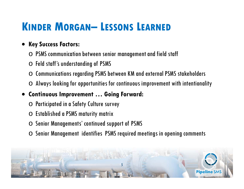## **KINDER MORGAN– LESSONS LEARNED**

### 0 **Key Success Factors:**

- $\,\circ\,$  PSMS communication between senior management and field staff
- $\circlearrowright$  Feld staff's understanding of PSMS
- $\circlearrowright$  Communications regarding PSMS between KM and external PSMS stakeholders
- $\circlearrowright$  Always looking for opportunities for continuous improvement with intentionality
- 0 **Continuous Improvement … Going Forward:** 
	- $\circlearrowright$  Participated in a Safety Culture survey
	- $\circ$  Established a PSMS maturity matrix
	- o Senior Managements' continued support of PSMS
	- $\circlearrowright$  Senior Management identifies PSMS required meetings in opening comments

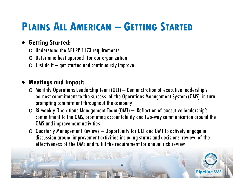## **PLAINS ALL AMERICAN – GETTING STARTED**

### **Getting Started:**

- $\circ$  Understand the API RP 1173 requirements
- $\circlearrowright$  Determine best approach for our organization
- $\circlearrowright$  Just do it get started and continuously improve

### **Meetings and Impact:**

- $\circlearrowright$  Monthly Operations Leadership Team (OLT) Demonstration of executive leadership's earnest commitment to the success of the Operations Management System (OMS), in turn prompting commitment throughout the company
- $\circ$  Bi-weekly Operations Management Team (OMT) Reflection of executive leadership's commitment to the OMS, promoting accountability and two-way communication around the OMS and improvement activities
- $\circlearrowright$  Quarterly Management Reviews Opportunity for OLT and OMT to actively engage in discussion around improvement activities including status and decisions, review of the effectiveness of the OMS and fulfill the requirement for annual risk review

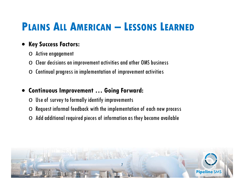## **PLAINS ALL AMERICAN – LESSONS LEARNED**

#### 0 **Key Success Factors:**

- o Active engagement
- $\Omega$ Clear decisions on improvement activities and other OMS business
- oContinual progress in implementation of improvement activities

### 0 **Continuous Improvement … Going Forward:**

- $\circlearrowright$  Use of survey to formally identify improvements
- oRequest informal feedback with the implementation of each new process
- $\,\circ\,$  Add additional required pieces of information as they become available

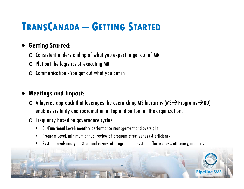## **TRANSCANADA – GETTING STARTED**

### 0 **Getting Started:**

- $\circlearrowright$  Consistent understanding of what you expect to get out of MR
- $\circlearrowright$  Plot out the logistics of executing MR
- $\circlearrowright$  Communication You get out what you put in

### 0 **Meetings and Impact:**

- $\circ$  A layered approach that leverages the overarching MS hierarchy (MS $\rightarrow$ Programs $\rightarrow$ BU) enables visibility and coordination at top and bottom of the organization.
- o Frequency based on governance cycles:
	- •BU/Functional Level: monthly performance management and oversight
	- •Program Level: minimum annual review of program effectiveness & efficiency
	- •System Level: mid-year & annual review of program and system effectiveness, efficiency, maturity

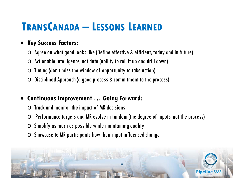## **TRANSCANADA – LESSONS LEARNED**

### $\bullet$ **Key Success Factors:**

- $\circlearrowright$  Agree on what good looks like (Define effective & efficient, today and in future)
- oActionable intelligence, not data (ability to roll it up and drill down)
- oTiming (don't miss the window of opportunity to take action)
- oDisciplined Approach (a good process & commitment to the process)

### $\bullet$ **Continuous Improvement … Going Forward:**

- oTrack and monitor the impact of MR decisions
- oPerformance targets and MR evolve in tandem (the degree of inputs, not the process)
- oSimplify as much as possible while maintaining quality
- $\Omega$ Showcase to MR participants how their input influenced change